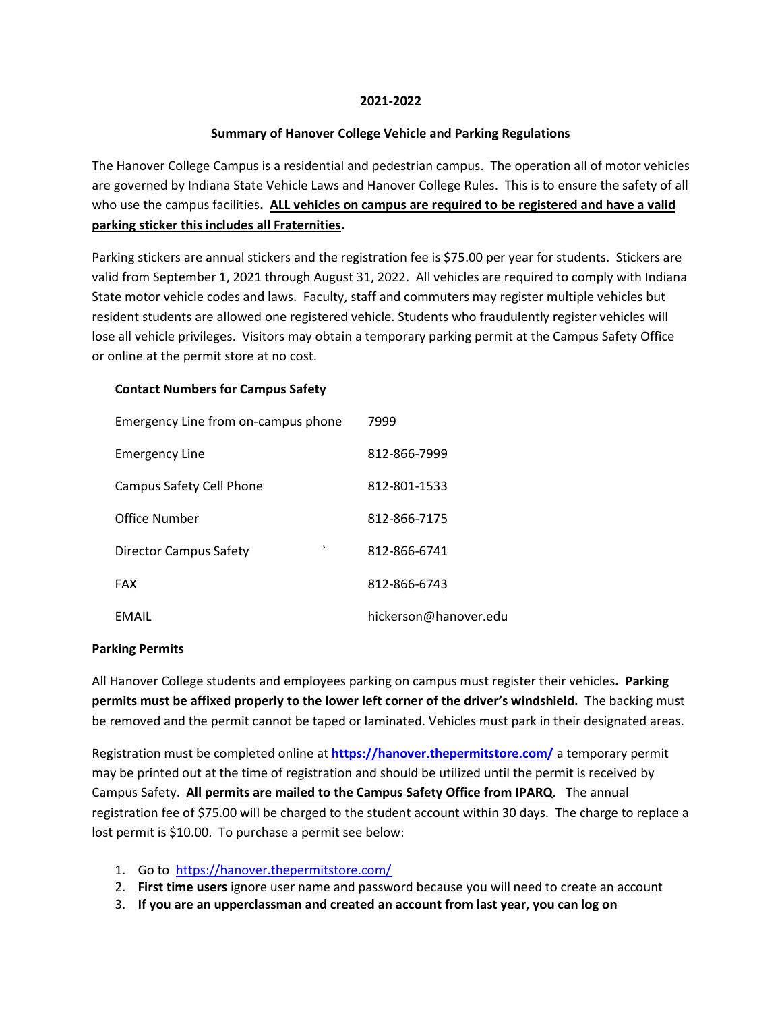#### **2021-2022**

#### **Summary of Hanover College Vehicle and Parking Regulations**

The Hanover College Campus is a residential and pedestrian campus. The operation all of motor vehicles are governed by Indiana State Vehicle Laws and Hanover College Rules. This is to ensure the safety of all who use the campus facilities**. ALL vehicles on campus are required to be registered and have a valid parking sticker this includes all Fraternities.**

Parking stickers are annual stickers and the registration fee is \$75.00 per year for students. Stickers are valid from September 1, 2021 through August 31, 2022. All vehicles are required to comply with Indiana State motor vehicle codes and laws. Faculty, staff and commuters may register multiple vehicles but resident students are allowed one registered vehicle. Students who fraudulently register vehicles will lose all vehicle privileges. Visitors may obtain a temporary parking permit at the Campus Safety Office or online at the permit store at no cost.

#### **Contact Numbers for Campus Safety**

| Emergency Line from on-campus phone      | 7999                  |
|------------------------------------------|-----------------------|
| <b>Emergency Line</b>                    | 812-866-7999          |
| Campus Safety Cell Phone                 | 812-801-1533          |
| Office Number                            | 812-866-7175          |
| $\cdot$<br><b>Director Campus Safety</b> | 812-866-6741          |
| <b>FAX</b>                               | 812-866-6743          |
| EMAIL                                    | hickerson@hanover.edu |

#### **Parking Permits**

All Hanover College students and employees parking on campus must register their vehicles**. Parking permits must be affixed properly to the lower left corner of the driver's windshield.** The backing must be removed and the permit cannot be taped or laminated. Vehicles must park in their designated areas.

Registration must be completed online at **<https://hanover.thepermitstore.com/>** a temporary permit may be printed out at the time of registration and should be utilized until the permit is received by Campus Safety. **All permits are mailed to the Campus Safety Office from IPARQ**. The annual registration fee of \$75.00 will be charged to the student account within 30 days. The charge to replace a lost permit is \$10.00. To purchase a permit see below:

- 1. Go to <https://hanover.thepermitstore.com/>
- 2. **First time users** ignore user name and password because you will need to create an account
- 3. **If you are an upperclassman and created an account from last year, you can log on**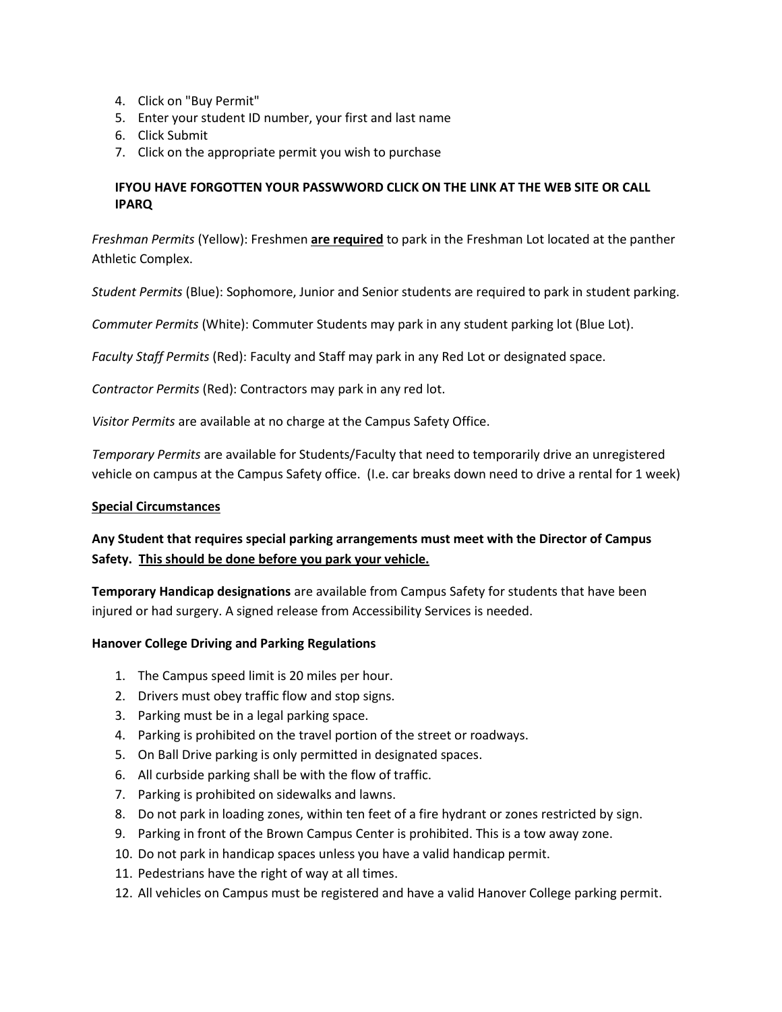- 4. Click on "Buy Permit"
- 5. Enter your student ID number, your first and last name
- 6. Click Submit
- 7. Click on the appropriate permit you wish to purchase

# **IFYOU HAVE FORGOTTEN YOUR PASSWWORD CLICK ON THE LINK AT THE WEB SITE OR CALL IPARQ**

*Freshman Permits* (Yellow): Freshmen **are required** to park in the Freshman Lot located at the panther Athletic Complex.

*Student Permits* (Blue): Sophomore, Junior and Senior students are required to park in student parking.

*Commuter Permits* (White): Commuter Students may park in any student parking lot (Blue Lot).

*Faculty Staff Permits* (Red): Faculty and Staff may park in any Red Lot or designated space.

*Contractor Permits* (Red): Contractors may park in any red lot.

*Visitor Permits* are available at no charge at the Campus Safety Office.

*Temporary Permits* are available for Students/Faculty that need to temporarily drive an unregistered vehicle on campus at the Campus Safety office. (I.e. car breaks down need to drive a rental for 1 week)

#### **Special Circumstances**

# **Any Student that requires special parking arrangements must meet with the Director of Campus Safety. This should be done before you park your vehicle.**

**Temporary Handicap designations** are available from Campus Safety for students that have been injured or had surgery. A signed release from Accessibility Services is needed.

#### **Hanover College Driving and Parking Regulations**

- 1. The Campus speed limit is 20 miles per hour.
- 2. Drivers must obey traffic flow and stop signs.
- 3. Parking must be in a legal parking space.
- 4. Parking is prohibited on the travel portion of the street or roadways.
- 5. On Ball Drive parking is only permitted in designated spaces.
- 6. All curbside parking shall be with the flow of traffic.
- 7. Parking is prohibited on sidewalks and lawns.
- 8. Do not park in loading zones, within ten feet of a fire hydrant or zones restricted by sign.
- 9. Parking in front of the Brown Campus Center is prohibited. This is a tow away zone.
- 10. Do not park in handicap spaces unless you have a valid handicap permit.
- 11. Pedestrians have the right of way at all times.
- 12. All vehicles on Campus must be registered and have a valid Hanover College parking permit.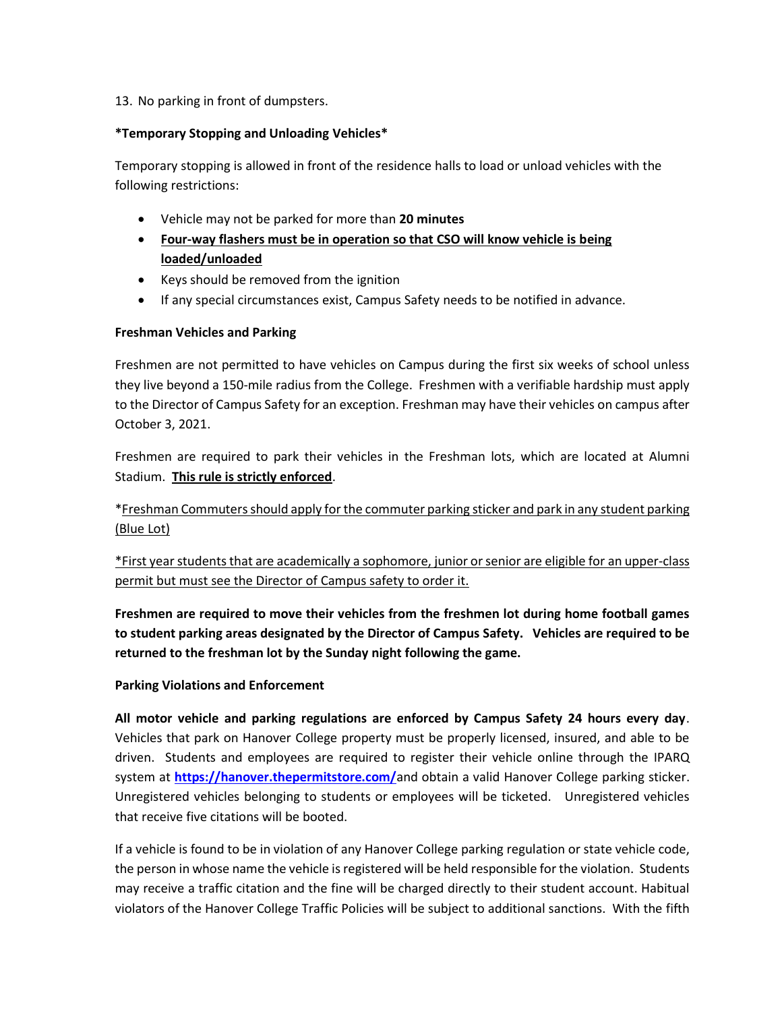## 13. No parking in front of dumpsters.

## **\*Temporary Stopping and Unloading Vehicles\***

Temporary stopping is allowed in front of the residence halls to load or unload vehicles with the following restrictions:

- Vehicle may not be parked for more than **20 minutes**
- **Four-way flashers must be in operation so that CSO will know vehicle is being loaded/unloaded**
- Keys should be removed from the ignition
- If any special circumstances exist, Campus Safety needs to be notified in advance.

## **Freshman Vehicles and Parking**

Freshmen are not permitted to have vehicles on Campus during the first six weeks of school unless they live beyond a 150-mile radius from the College. Freshmen with a verifiable hardship must apply to the Director of Campus Safety for an exception. Freshman may have their vehicles on campus after October 3, 2021.

Freshmen are required to park their vehicles in the Freshman lots, which are located at Alumni Stadium. **This rule is strictly enforced**.

\*Freshman Commuters should apply for the commuter parking sticker and park in any student parking (Blue Lot)

\*First year students that are academically a sophomore, junior or senior are eligible for an upper-class permit but must see the Director of Campus safety to order it.

**Freshmen are required to move their vehicles from the freshmen lot during home football games to student parking areas designated by the Director of Campus Safety. Vehicles are required to be returned to the freshman lot by the Sunday night following the game.**

#### **Parking Violations and Enforcement**

**All motor vehicle and parking regulations are enforced by Campus Safety 24 hours every day**. Vehicles that park on Hanover College property must be properly licensed, insured, and able to be driven. Students and employees are required to register their vehicle online through the IPARQ system at **<https://hanover.thepermitstore.com/>**and obtain a valid Hanover College parking sticker. Unregistered vehicles belonging to students or employees will be ticketed. Unregistered vehicles that receive five citations will be booted.

If a vehicle is found to be in violation of any Hanover College parking regulation or state vehicle code, the person in whose name the vehicle is registered will be held responsible for the violation. Students may receive a traffic citation and the fine will be charged directly to their student account. Habitual violators of the Hanover College Traffic Policies will be subject to additional sanctions. With the fifth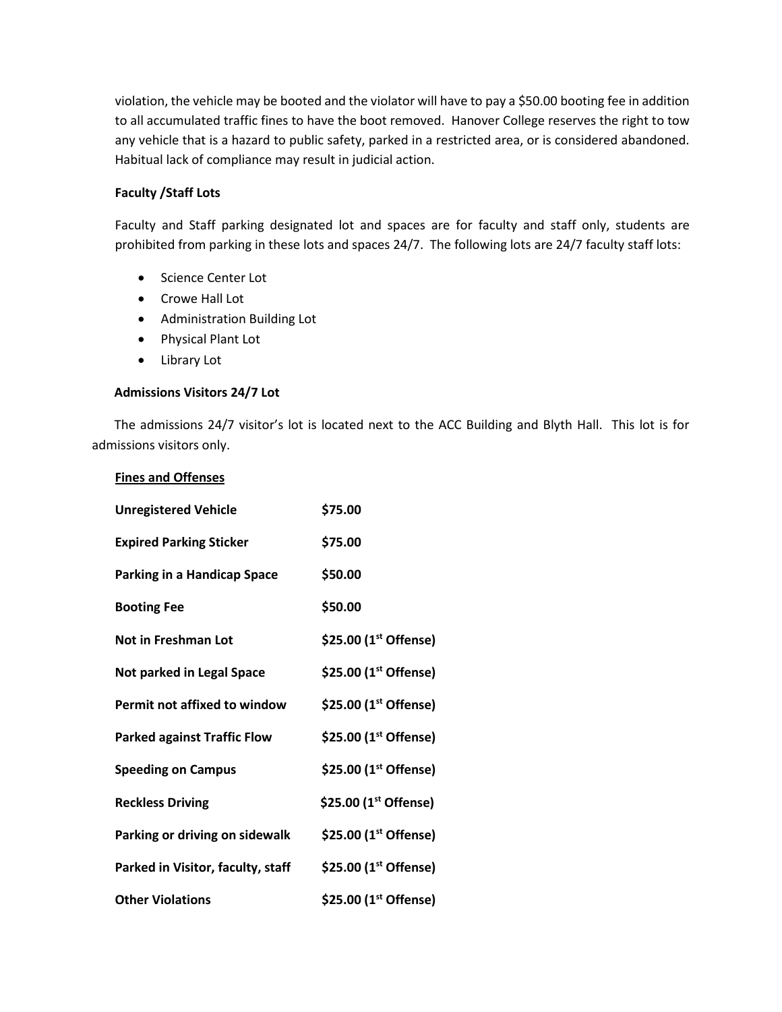violation, the vehicle may be booted and the violator will have to pay a \$50.00 booting fee in addition to all accumulated traffic fines to have the boot removed. Hanover College reserves the right to tow any vehicle that is a hazard to public safety, parked in a restricted area, or is considered abandoned. Habitual lack of compliance may result in judicial action.

## **Faculty /Staff Lots**

Faculty and Staff parking designated lot and spaces are for faculty and staff only, students are prohibited from parking in these lots and spaces 24/7. The following lots are 24/7 faculty staff lots:

- Science Center Lot
- Crowe Hall Lot
- Administration Building Lot
- Physical Plant Lot
- Library Lot

**Fines and Offenses**

#### **Admissions Visitors 24/7 Lot**

The admissions 24/7 visitor's lot is located next to the ACC Building and Blyth Hall. This lot is for admissions visitors only.

| <b>Unregistered Vehicle</b>         | \$75.00                           |
|-------------------------------------|-----------------------------------|
| <b>Expired Parking Sticker</b>      | \$75.00                           |
| <b>Parking in a Handicap Space</b>  | \$50.00                           |
| <b>Booting Fee</b>                  | \$50.00                           |
| <b>Not in Freshman Lot</b>          | \$25.00 $(1^{st}$ Offense)        |
| Not parked in Legal Space           | \$25.00 $(1^{st}$ Offense)        |
| <b>Permit not affixed to window</b> | \$25.00 (1 <sup>st</sup> Offense) |
| <b>Parked against Traffic Flow</b>  | \$25.00 (1 <sup>st</sup> Offense) |
| <b>Speeding on Campus</b>           | \$25.00 (1 <sup>st</sup> Offense) |
| <b>Reckless Driving</b>             | \$25.00 (1 <sup>st</sup> Offense) |
| Parking or driving on sidewalk      | \$25.00 $(1^{st}$ Offense)        |
| Parked in Visitor, faculty, staff   | \$25.00 $(1^{st}$ Offense)        |
| <b>Other Violations</b>             | \$25.00 (1st Offense)             |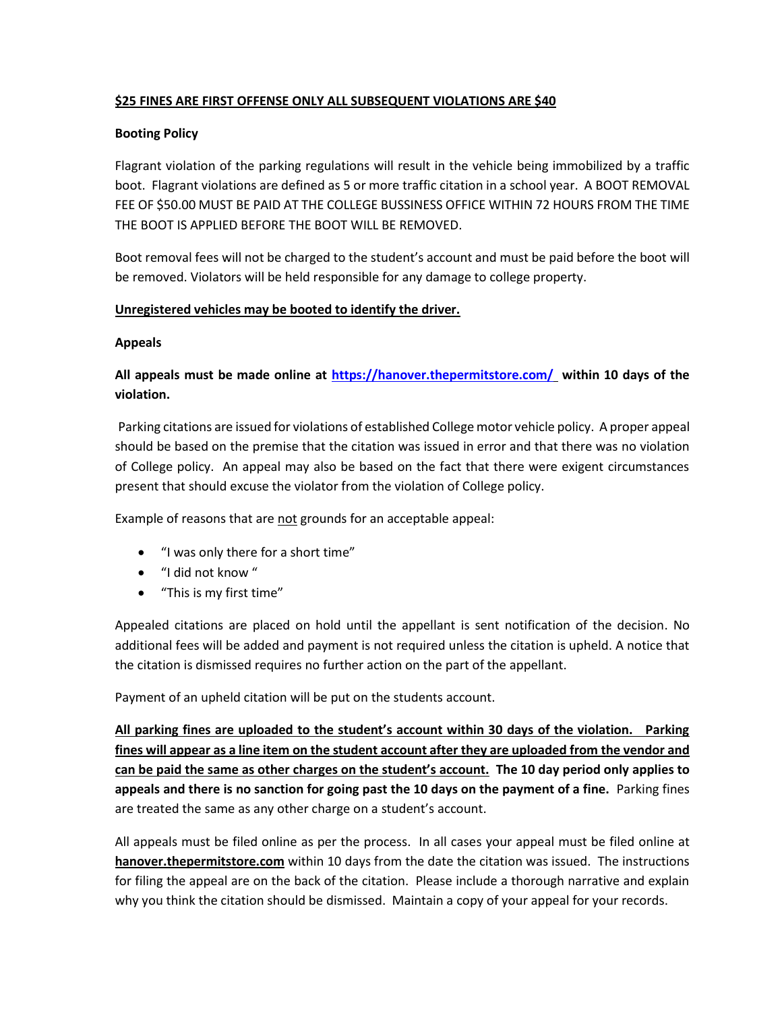# **\$25 FINES ARE FIRST OFFENSE ONLY ALL SUBSEQUENT VIOLATIONS ARE \$40**

## **Booting Policy**

Flagrant violation of the parking regulations will result in the vehicle being immobilized by a traffic boot. Flagrant violations are defined as 5 or more traffic citation in a school year. A BOOT REMOVAL FEE OF \$50.00 MUST BE PAID AT THE COLLEGE BUSSINESS OFFICE WITHIN 72 HOURS FROM THE TIME THE BOOT IS APPLIED BEFORE THE BOOT WILL BE REMOVED.

Boot removal fees will not be charged to the student's account and must be paid before the boot will be removed. Violators will be held responsible for any damage to college property.

## **Unregistered vehicles may be booted to identify the driver.**

#### **Appeals**

# **All appeals must be made online at<https://hanover.thepermitstore.com/> within 10 days of the violation.**

Parking citations are issued for violations of established College motor vehicle policy. A proper appeal should be based on the premise that the citation was issued in error and that there was no violation of College policy. An appeal may also be based on the fact that there were exigent circumstances present that should excuse the violator from the violation of College policy.

Example of reasons that are not grounds for an acceptable appeal:

- "I was only there for a short time"
- "I did not know "
- "This is my first time"

Appealed citations are placed on hold until the appellant is sent notification of the decision. No additional fees will be added and payment is not required unless the citation is upheld. A notice that the citation is dismissed requires no further action on the part of the appellant.

Payment of an upheld citation will be put on the students account.

**All parking fines are uploaded to the student's account within 30 days of the violation. Parking fines will appear as a line item on the student account after they are uploaded from the vendor and can be paid the same as other charges on the student's account. The 10 day period only applies to appeals and there is no sanction for going past the 10 days on the payment of a fine.** Parking fines are treated the same as any other charge on a student's account.

All appeals must be filed online as per the process. In all cases your appeal must be filed online at **hanover.thepermitstore.com** within 10 days from the date the citation was issued. The instructions for filing the appeal are on the back of the citation. Please include a thorough narrative and explain why you think the citation should be dismissed. Maintain a copy of your appeal for your records.